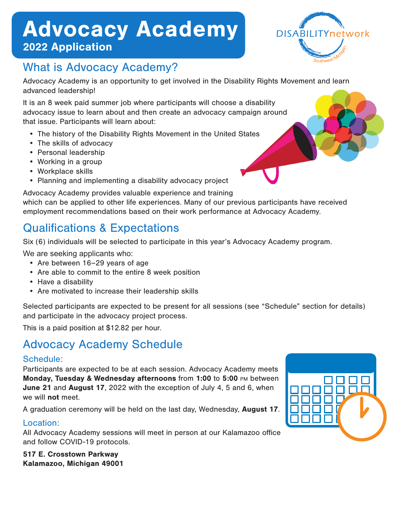# Advocacy Academy

## 2022 Application



## What is Advocacy Academy?

Advocacy Academy is an opportunity to get involved in the Disability Rights Movement and learn advanced leadership!

It is an 8 week paid summer job where participants will choose a disability advocacy issue to learn about and then create an advocacy campaign around that issue. Participants will learn about:

- The history of the Disability Rights Movement in the United States
- The skills of advocacy
- Personal leadership
- Working in a group
- Workplace skills
- Planning and implementing a disability advocacy project

Advocacy Academy provides valuable experience and training

which can be applied to other life experiences. Many of our previous participants have received employment recommendations based on their work performance at Advocacy Academy.

# Qualifications & Expectations

Six (6) individuals will be selected to participate in this year's Advocacy Academy program.

We are seeking applicants who:

- Are between 16–29 years of age
- Are able to commit to the entire 8 week position
- Have a disability
- Are motivated to increase their leadership skills

Selected participants are expected to be present for all sessions (see "Schedule" section for details) and participate in the advocacy project process.

This is a paid position at \$12.82 per hour.

# Advocacy Academy Schedule

### Schedule:

Participants are expected to be at each session. Advocacy Academy meets Monday, Tuesday & Wednesday afternoons from 1:00 to 5:00 pm between June 21 and August 17, 2022 with the exception of July 4, 5 and 6, when we will not meet.

A graduation ceremony will be held on the last day, Wednesday, August 17.

### Location:

All Advocacy Academy sessions will meet in person at our Kalamazoo office and follow COVID-19 protocols.

517 E. Crosstown Parkway Kalamazoo, Michigan 49001

| $\Box$ $\Box$<br>ப்<br>póði<br>∫_1<br>$\square$ $\square$ |  |
|-----------------------------------------------------------|--|
| $\Box$<br>Οń                                              |  |
|                                                           |  |